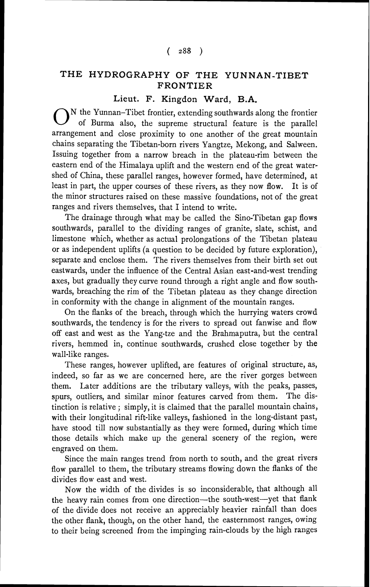# $(288)$

# THE HYDROGRAPHY OF THE YUNNAN-TIBET FRONTIER

# Lieut. F. Kingdon Ward, B.A.

 $N$ <sup>N</sup> the Yunnan-Tibet frontier, extending southwards along the frontier of Burma also, the supreme structural feature is the parallel arrangement and close proximity to one another of the great mountain chains separating the Tibetan-born rivers Yangtze, Mekong, and Salween. Issuing together from a narrow breach in the plateau-rim between the eastern end of the Himalaya uplift and the western end of the great watershed of China, these parallel ranges, however formed, have determined, at least in part, the upper courses of these rivers, as they now flow. It is of the minor structures raised on these massive foundations, not of the great ranges and rivers themselves, that I intend to write.

The drainage through what may be called the Sino-Tibetan gap flows southwards, parallel to the dividing ranges of granite, slate, schist, and limestone which, whether as actual prolongations of the Tibetan plateau or as independent uplifts (a question to be decided by future exploration), separate and enclose them. The rivers themselves from their birth set out eastwards, under the influence of the Central Asian east-and-west trending axes, but gradually they curve round through a right angle and flow southwards, breaching the rim of the Tibetan plateau as they change direction in conformity with the change in alignment of the mountain ranges.

On the flanks of the breach, through which the hurrying waters crowd southwards, the tendency is for the rivers to spread out fanwise and flow off east and west as the Yang-tze and the Brahmaputra, but the central rivers, hemmed in, continue southwards, crushed close together by the wall-like ranges.

These ranges, however uplifted, are features of original structure, as, indeed, so far as we are concerned here, are the river gorges between them, Later additions are the tributary valleys, with the peaks, passes, spurs, outliers, and similar minor features carved from them. The distinction is relative ; simply, it is claimed that the parallel mountain chains, with their longitudinal rift-like valleys, fashioned in the long-distant past, have stood till now substantially as they were formed, during which time those details which make up the general scenery of the region, were engraved on them.

Since the main ranges trend from north to south, and the great rivers flow parallel to them, the tributary streams flowing down the flanks of the divides flow east and west.

Now the width of the divides is so inconsiderable, that although all the heavy rain comes from one direction-the south-west-yet that flank of the divide does not receive an appreciably heavier rainfall than does the other flank, though, on the other hand, the easternmost ranges, owing to their being screened from the impinging rain-clouds by the high ranges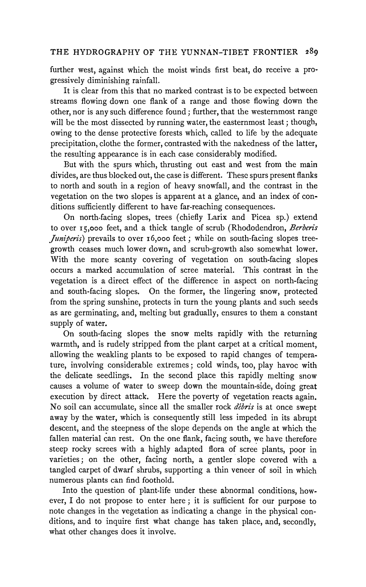further west, against which the moist winds first beat, do receive a progressively diminishing rainfall.

It is clear from this that no marked contrast is to be expected between streams flowing down one flank of a range and those flowing down the other, nor is any such difference found; further, that the westernmost range will be the most dissected by running water, the easternmost least; though, owing to the dense protective forests which, called to life by the adequate precipitation, clothe the former, contrasted with the nakedness of the latter, the resulting appearance is in each case considerably modified.

But with the spurs which, thrusting out east and west from the main divides, are thus blocked out, the case is different. These spurs present flanks to north and south in a region of heavy snowfall, and the contrast in the vegetation on the two slopes is apparent at a glance, and an index of conditions sufficiently different to have far-reaching consequences.

On north-facing slopes, trees (chiefly Larix and Picea sp.) extend to over 15,000 feet, and a thick tangle of scrub (Rhododendron, Berberis *Juniperis*) prevails to over  $16,000$  feet; while on south-facing slopes treegrowth ceases much lower down, and scrub-growth also somewhat lower. With the more scanty covering of vegetation on south-facing slopes occurs a marked accumulation of scree material. This contrast in the vegetation is a direct effect of the difference in aspect on north-facing and south-facing slopes. On the former, the lingering snow, protected from the spring sunshine, protects in turn the young plants and such seeds as are germinating, and, melting but gradually, ensures to them a constant supply of water.

On south-facing slopes the snow melts rapidly with the returning warmth, and is rudely stripped from the plant carpet at a critical moment. allowing the weakling plants to be exposed to rapid changes of temperature, involving considerable extremes; cold winds, too, play havoc with the delicate seedlings. In the second place this rapidly melting snow causes a volume of water to sweep down the mountain-side, doing great execution by direct attack. Here the poverty of vegetation reacts again. No soil can accumulate, since all the smaller rock *debris* is at once swept away by the water, which is consequently still less impeded in its abrupt descent, and the steepness of the slope depends on the angle at which the fallen material can rest. On the one flank, facing south, we have therefore steep rocky screes with a highly adapted flora of scree plants, poor in varieties; on the other, facing north, a gentler slope covered with a tangled carpet of dwarf shrubs, supporting a thin veneer of soil in which numerous plants can find foothold.

Into the question of plant-life under these abnormal conditions, however, I do not propose to enter here ; it is sufficient for our purpose to note changes in the vegetation as indicating a change in the physical conditions, and to inquire first what change has taken place, and, secondly, what other changes does it involve.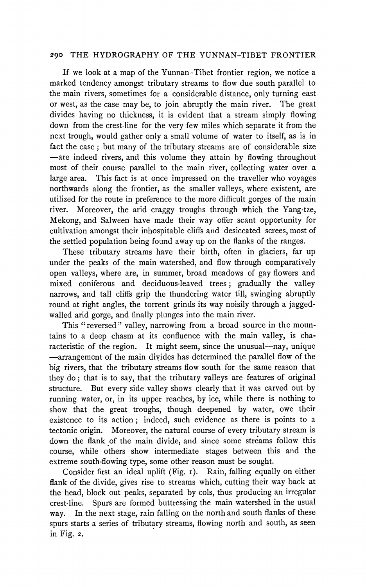If we look at a map of the Yunnan-Tibet frontier region, we notice a marked tendency amongst tributary streams to flow due south parallel to the main rivers, sometimes for a considerable distance, only turning east or west, as the case may be, to join abruptly the main river. The great divides having no thickness, it is evident that a stream simply flowing down from the crest-line for the very few miles which separate it from the next trough, would gather only a small volume of water to itself, as is in fact the case ; but many of the tributary streams are of considerable size -are indeed rivers, and this volume they attain by flowing throughout most of their course parallel to the main river, collecting water over a large area. This fact is at once impressed on the traveller who voyages northwards along the frontier, as the smaller valleys, where existent, are utilized for the route in preference to the more difficult gorges of the main river. Moreover, the arid craggy troughs through which the Yang-tze, Mekong, and Salween have made their way offer scant opportunity for cultivation amongst their inhospitable cliffs and desiccated screes, most of the settled population being found away up on the flanks of the ranges.

These tributary streams have their birth, often in glaciers, far up under the peaks of the main watershed, and flow through comparatively open valleys, where are, in summer, broad meadows of gay flowers and mixed coniferous and deciduous-leaved trees; gradually the valley narrows, and tall cliffs grip the thundering water till, swinging abruptly round at right angles, the torrent grinds its way noisily through a jaggedwalled arid gorge, and finally plunges into the main river.

This "reversed" valley, narrowing from a broad source in the mountains to a deep chasm at its confluence with the main valley, is characteristic of the region. It might seem, since the unusual-nay, unique -arrangement of the main divides has determined the parallel flow of the big rivers, that the tributary streams flow south for the same reason that they do; that is to say, that the tributary valleys are features of original structure. But every side valley shows clearly that it was carved out by running water, or, in its upper reaches, by ice, while there is nothing to show that the great troughs, though deepened by water, owe their existence to its action; indeed, such evidence as there is points to a tectonic origin. Moreover, the natural course of every tributary stream is down the flank of the main divide, and since some streams follow this course, while others show intermediate stages between this and the extreme south-flowing type, some other reason must be sought.

Consider first an ideal uplift (Fig. I). Rain, falling equally on either flank of the divide, gives rise to streams which, cutting their way back at the head, block out peaks, separated by cols, thus producing an irregular crest-line. Spurs are formed buttressing the main watershed in the usual way. In the next stage, rain failing on the north and south flanks of these spurs starts a series of tributary streams, flowing north and south, as seen in Fig. **2.**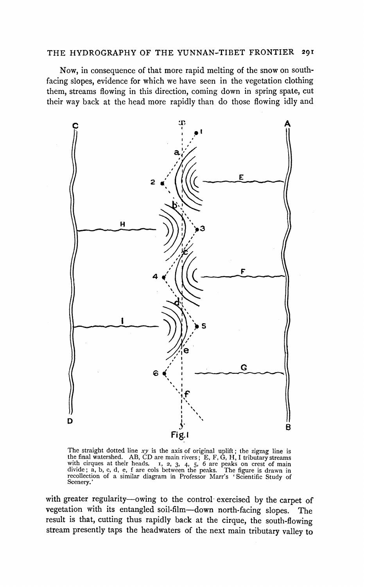Now, in consequence **of** that more rapid melting of the snow on southfacing slopes, evidence for which we have seen in the vegetation clothing them, streams flowing in this direction, coming down in spring spate, cut their way back at the head more rapidly than do those flowing idly and



The straight dotted line xy is the axis of original uplift; the zigzag line is the final watershed. AB, CD are main rivers; E, F, G, H, I tributary streams with cirques at their heads.  $x$ ,  $z$ ,  $3$ ,  $4$ ,  $5$  f are peaks Scenery.'

with greater regularity-owing to the control exercised by the carpet of vegetation with its entangled soil-film-down north-facing slopes. The result is that, cutting thus rapidly back at the cirque, the south-flowing stream presently taps the headwaters of the next main tributary valley to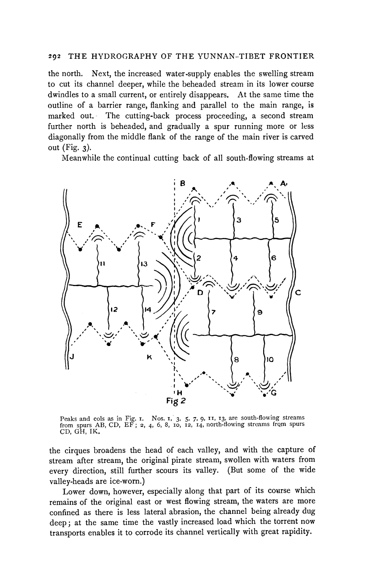the north. Next, the increased water-supply enables the swelling stream to cut its channel deeper, while the beheaded stream in its lower course dwindles to a small current, or entirely disappears. At the same time the outline of a barrier range, flanking and parallel to the main range, is marked out. The cutting-back process proceeding, a second stream further north is beheaded, and gradually a spur running more or less diagonally from the middle flank of the range of the main river is carved out (Fig. **3).** 

Meanwhile the continual cutting back of all south-flowing streams at



Peaks and cols as in Fig. **1.** Nos. **1**, 3, 5, 7, 9, 11, 13, are south-flowing streams from spurs AB, CD, EF; 2, 4, 6, 8, 10, 12, 14, north-flowing streams from spurs CD, GH, IK.

the cirques broadens the head of each valley, and with the capture of stream after stream, the original pirate stream, swollen with waters from every direction, still further scours its valley. (But some of the wide valley-heads are ice-worn.)

Lower down, however, especially along that part of its course which remains of the original east or west flowing stream, the waters are more confined as there is less lateral abrasion, the channel being already dug deep; at the same time the vastly increased load which the torrent now transports enables it to corrode its channel vertically with great rapidity.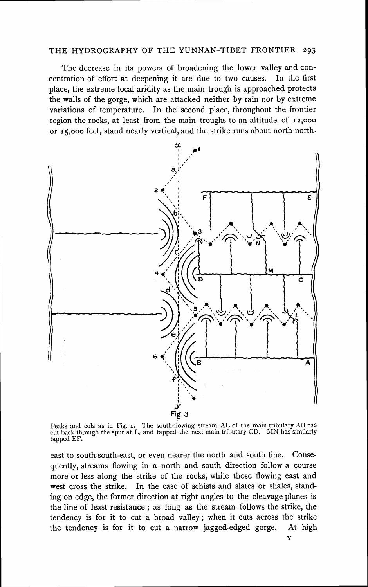The decrease in its powers of broadening the lower valley and concentration of effort at deepening it are due to two causes. In the first place, the extreme local aridity as the main trough is approached protects the walls of the gorge, which are attacked neither by rain nor by extreme variations of temperature. In the second place, throughout the frontier region the rocks, at least from the main troughs to an altitude of  $12,000$ or 15,000 feet, stand nearly vertical, and the strike runs about north-north-



Peaks and cols as in Fig. 1. The south-flowing stream AL of the main tributary AB has cut back through the spur at L, and tapped the next main tributary CD. MN has similarly tapped EF.

east to south-south-east, or even nearer the north and south line. Consequently, streams flowing in a north and south direction follow a course more or less along the strike of the rocks, while those flowing east and west cross the strike. In the case of schists and slates or shales, standing on edge, the former direction at right angles to the cleavage planes is the line of least resistance; as long as the stream follows the strike, the tendency is for it to cut a broad valley; when it cuts across the strike the tendency is for it to cut a narrow jagged-edged gorge. At high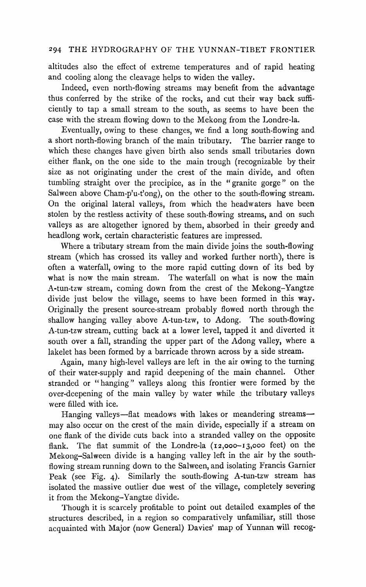altitudes also the effect of extrerne temperatures and of rapid heating and cooling along the cleavage helps to widen the valley.

Indeed, even north-flowing streams may benefit from the advantage thus conferred by the strike of the rocks, and cut their way back sufficiently to tap a small stream to the south, as seems to have been the case with the stream flowing down to the Mekong from the Londre-la.

Eventually, owing to these changes, we iind a long south-flowing and a short north-flowing branch of the main tributary. The barrier range to which these changes have given birth also sends small tributaries down either flank, on the one side to the main trough (recognizable by their size as not originating under the crest of the main divide, and often tumbling straight over the precipice, as in the "granite gorge" on the Salween above Cham-p'u-t'ong), on the other to the south-flowing stream. On the original lateral valleys, from which the headwaters have been stolen by the restless activity of these south-flowing streams, and on such valleys as are altogether ignored by them, absorbed in their greedy and headlong work, certain characteristic features are impressed.

Where a tributary stream from the main divide joins the south-flowing stream (which has crossed its valley and worked further north), there is often a waterfall, owing to the more rapid cutting down of its bed by what is now the main stream. The waterfall on what is now the main A-tun-tzw stream, coming down from the crest of the Mekong-Yangtze divide just below the village, seems to have been formed in this way. Originally the present source-stream probably flowed north through the shallow hanging valley above A-tun-tzw, to Adong. The south-flowing A-tun-tzw stream, cutting back at a lower level, tapped it and diverted it south over a fall, stranding the upper part of the Adong valley, where a lakelet has been formed by a barricade thrown across by a side stream.

Again, many high-level valleys are left in the air owing to the turning of their water-supply and rapid deepening of the main channel. Other stranded or "hanging" valleys along this frontier were formed by the over-deepening of the main valley by water while the tributary valleys were filled with ice.

Hanging valleys-flat meadows with lakes or meandering streamsmay also occur on the crest of the main divide, especially if a stream on one flank of the divide cuts back into a stranded valley on the opposite flank. The flat summit of the Londre-la (12,ooo-13,000 feet) on the Mekong-Salween divide is a hanging valley left in the air by the southflowing stream running down to the Salween, and isolating Francis Garnier Peak (see Fig. 4). Similarly the south-flowing A-tun-tzw stream has isolated the massive outlier due west of the village, completely severing it from the Mekong-Yangtze divide.

Though it is scarcely profitable to point out detailed examples of the structures described, in a region so comparatively unfamiliar, still those acquainted with Major (now General) Davies' map of Yunnan will recog-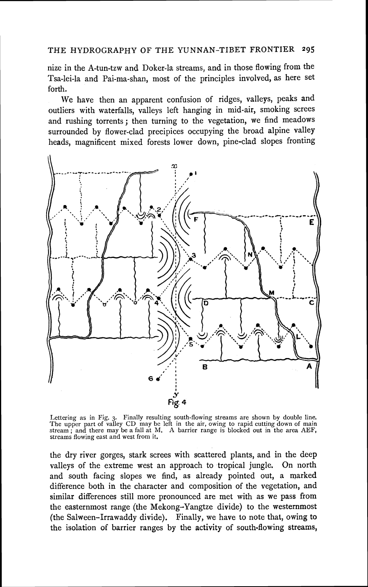nize in the A-tun-tzw and Doker-la streams, and in those flowing from the Tsa-lei-la and Pai-ma-shan, most of the principles involved, as here set forth.

We have then an apparent confusion of ridges, valleys, peaks and outliers with waterfalls, valleys left hanging in mid-air, smoking screes and rushing torrents; then turning to the vegetation, we find meadows surrounded by flower-clad precipices occupying the broad alpine valley heads, magnificent mixed forests lower down, pine-clad slopes fronting



Lettering as in Fig. 3. Finally resulting south-flowing streams are shown by double line.<br>The upper part of valley CD may be left in the air, owing to rapid cutting down of main<br>stream; and there may be a fall at M, A barr

the dry river gorges, stark screes with scattered plants, and in the deep valleys of the extreme west an approach to tropical jungle. On north and south facing slopes we find, as already pointed out, a marked difference both in the character and composition of the vegetation, and similar differences still more pronounced are met with as we pass from the easternmost range (the Mekong-Yangtze divide) to the westernmost (the Salween-Irrawaddy divide). Finally, we have to note that, owing to the isolation of barrier ranges by the activity of south-flowing streams,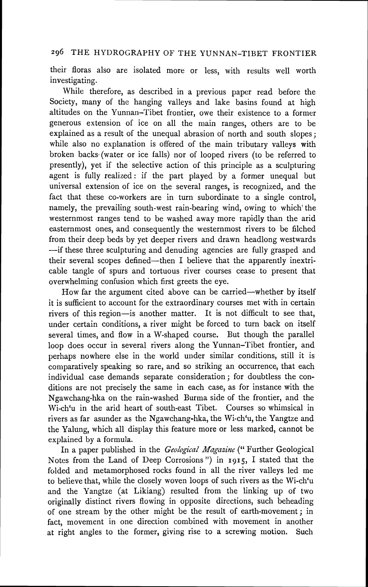their floras also are isolated more or less, with results well worth investigating.

While therefore, as described in a previous paper read before the Society, many of the hanging valleys and lake basins found at high altitudes on the Yunaan-Tibet frontier, owe their existence to a former generous extension of ice on all the main ranges, others are to be explained as a result of the unequal abrasion of north and south slopes; while also no explanation is offered of the main tributary valleys with broken backs.(water or ice falls) nor of looped rivers (to be referred to presently), yet if the selective action of this principle as a sculpturing agent is fully realized : if the part played by a former unequal but universal extension of ice on the several ranges, is recognized, and the fact that these co-workers are in turn subordinate to a single control, namely, the prevailing south-west rain-bearing wind, owing to which' the westernmost ranges tend to be washed away more rapidly than the arid easternmost ones, and consequently the westernmost rivers to be filched from their deep beds by yet deeper rivers and drawn headlong westwards -if these three sculpturing and denuding agencies are fully grasped and their several scopes defined—then I believe that the apparently inextricable tangle of spurs and tortuous river courses cease to present that overwhelming confusion which first greets the eye.

How far the argument cited above can be carried—whether by itself it is sufficient to account for the extraordinary courses met with in certain rivers of this region-is another matter. It is not difficult to see that, under certain conditions, a river might be forced to turn back on itself several times, and flow in a W-shaped course. But though the parallel loop does occur in several rivers along the Yunnan-Tibet frontier, and perhaps nowhere else in the world under similar conditions, still it is comparatively speaking so rare, and so striking an occurrence, that each individual case demands separate consideration; for doubtless the conditions are not precisely the same in each case, as for instance with the Ngawchang-hka on the rain-washed Burma side of the frontier, and the Wi-ch'u in the arid heart of south-east Tibet. Courses so whimsical in rivers as far asunder as the Ngawchang-hka, the Wi-ch'u, the Yangtze and the Yalung, which all display this feature more or less marked, cannot be explained by a formula.

In a paper published in the *Geological Mngazine* (" Further Geological Notes from the Land of Deep Corrosions ") in **1915,** I stated that the folded and metamorphosed rocks found in all the river valleys led me to believe that, while the closely woven loops of such rivers as the Wi-ch'u and the Yangtze (at Likiang) resulted from the linking up of two originally distinct rivers flowing in opposite directions, such beheading of one stream by the other might be the result of earth-movement; in fact, movement in one direction combined with movement in another at right angles to the former, giving rise to a screwing motion. Such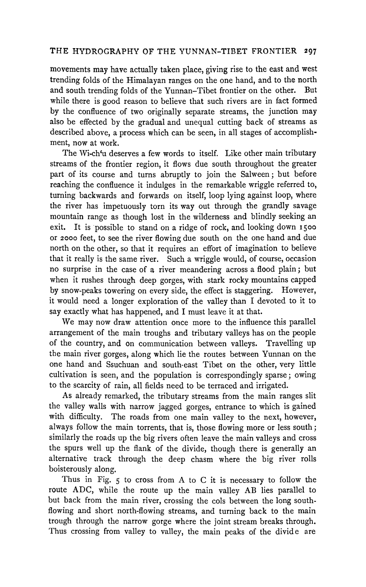movements may have actually taken place, giving rise to the east and west trending folds of the Himalayan ranges on the one hand, and to the north and south trending folds of the Yunnan-Tibet frontier on the other. But while there is good reason to believe that such rivers are in fact formed by the confluence of two originally separate streams, the junction may also be effected by the gradual and unequal cutting back of streams as described above, a process which can be seen, in all stages of accomplishment, now at work.

The Wi-ch'u deserves a few words to itself. Like other main tributary streams of the frontier region, it flows due south throughout the greater part of its course and turns abruptly to join the Salween; but before reaching the confluence it indulges in the remarkable wriggle referred to, turning backwards and forwards on itself, loop lying against loop, where the river has impetuously torn its way out through the grandly savage mountain range as though lost in the wilderness and blindly seeking an exit. It is possible to stand on a ridge of rock, and looking down **1500**  or **zoo0** feet, to see the river flowing due south on the one hand and due north on the other, so that it requires an effort of imagination to believe that it really is the same river. Such a wriggle would, of course, occasion no surprise in the case of **a** river meandering across a flood plain; but when it rushes through deep gorges, with stark rocky mountains capped by snow-peaks towering on every side, the effect is staggering. However, it would need a longer exploration of the valley than I devoted to it to say exactly what has happened, and I must leave it at that.

We may now draw attention once more to the influence this parallel arrangement of the main troughs and tributary valleys has on the people of the country, and on communication between valleys. Travelling up the main river gorges, along which lie the routes between Yunnan on the one hand and Ssuchuan and south-east Tibet on the other, very little cultivation is seen, and the population is correspondingly sparse; owing to the scarcity of rain, all fields need to be terraced and irrigated.

AS already remarked, the tributary streams from the main ranges slit the valley walls with narrow jagged gorges, entrance to which is gained with difficulty. The roads from one main valley to the next, however, always follow the main torrents, that is, those flowing more or less south; similarly the roads up the big rivers often leave the main valleys and cross the spurs well up the flank of the divide, though there is generally an alternative track through the deep chasm where the big river rolls boisterously along.

Thus in Fig. *5* to cross from **A** to C it is necessary to follow the route **ADC,** while the route up the main valley AB lies parallel to but back from the main river, crossing the cols between the long southflowing and short north-flowing streams, and turning back to the main trough through the narrow gorge where the joint stream breaks through. Thus crossing from valley to valley, the main peaks of the divide are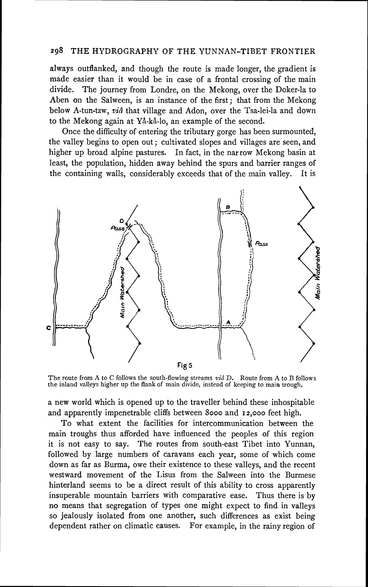always outflanked, and though the route is made longer, the gradient is made easier than it would be in case of a frontal crossing of the main divide. The journey from Londre, on the Mekong, over the Doker-la to Aben on the Salween, is an instance of the first; that from the Mekong below A-tun-tzw, *vid* that village and Adon, over the Tsa-lei-la and down to the Mekong again at YA-kA-lo, an example of the second.

Once the difficulty of entering the tributary gorge has been surmounted, the valley begins to open out; cultivated slopes and villages are seen, and higher up broad alpine pastures. In fact, in the narrow Mekong basin at least, the population, hidden away behind the spurs and barrier ranges of the containing walls, considerably exceeds that of the main valley. It is



The route from A to C follows the south-flowing streams *vid* D. Route from A to B follows the inland valleys higher up the flank of main divide, instead of keeping to main trough.

a new world which is opened up to the traveller behind these inhospitable and apparently impenetrable cliffs between 8000 and rz,ooo feet high.

To what extent the facilities for intercommunication between the main troughs thus afforded have influenced the peoples of this region it is not easy to say. The routes from south-east Tibet into Yunnan, followed by large numbers of caravans each year, some of which come down as far as Burma, owe their existence to these valleys, and the recent westward movement of the Lisus from the Salween into the Burmese hinterland seems to be a direct result of this ability to cross apparently insuperable mountain barriers with comparative ease. Thus there is by no means that segregation of types one might expect to find in valleys so jealously isolated from one another, such differences as exist being dependent rather on climatic causes. For example, in the rainy region of